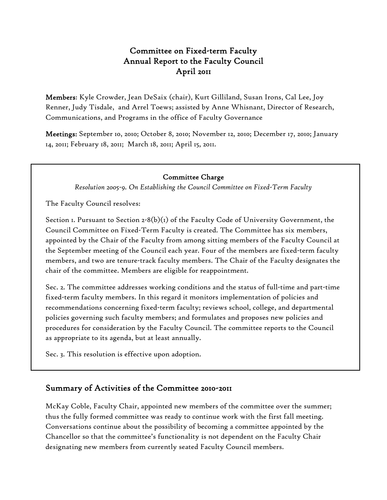# Committee on Fixed-term Faculty Annual Report to the Faculty Council April 2011

Members: Kyle Crowder, Jean DeSaix (chair), Kurt Gilliland, Susan Irons, Cal Lee, Joy Renner, Judy Tisdale, and Arrel Toews; assisted by Anne Whisnant, Director of Research, Communications, and Programs in the office of Faculty Governance

Meetings: September 10, 2010; October 8, 2010; November 12, 2010; December 17, 2010; January 14, 2011; February 18, 2011; March 18, 2011; April 15, 2011.

#### Committee Charge

*Resolution 2005-9. On Establishing the Council Committee on Fixed-Term Faculty* 

The Faculty Council resolves:

Section 1. Pursuant to Section 2-8(b)(1) of the Faculty Code of University Government, the Council Committee on Fixed-Term Faculty is created. The Committee has six members, appointed by the Chair of the Faculty from among sitting members of the Faculty Council at the September meeting of the Council each year. Four of the members are fixed-term faculty members, and two are tenure-track faculty members. The Chair of the Faculty designates the chair of the committee. Members are eligible for reappointment.

Sec. 2. The committee addresses working conditions and the status of full-time and part-time fixed-term faculty members. In this regard it monitors implementation of policies and recommendations concerning fixed-term faculty; reviews school, college, and departmental policies governing such faculty members; and formulates and proposes new policies and procedures for consideration by the Faculty Council. The committee reports to the Council as appropriate to its agenda, but at least annually.

Sec. 3. This resolution is effective upon adoption.

### Summary of Activities of the Committee 2010-2011

McKay Coble, Faculty Chair, appointed new members of the committee over the summer; thus the fully formed committee was ready to continue work with the first fall meeting. Conversations continue about the possibility of becoming a committee appointed by the Chancellor so that the committee's functionality is not dependent on the Faculty Chair designating new members from currently seated Faculty Council members.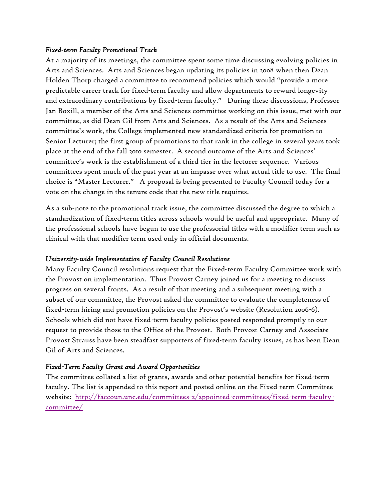#### *Fixed-term Faculty Promotional Track*

At a majority of its meetings, the committee spent some time discussing evolving policies in Arts and Sciences. Arts and Sciences began updating its policies in 2008 when then Dean Holden Thorp charged a committee to recommend policies which would "provide a more predictable career track for fixed-term faculty and allow departments to reward longevity and extraordinary contributions by fixed-term faculty." During these discussions, Professor Jan Boxill, a member of the Arts and Sciences committee working on this issue, met with our committee, as did Dean Gil from Arts and Sciences. As a result of the Arts and Sciences committee's work, the College implemented new standardized criteria for promotion to Senior Lecturer; the first group of promotions to that rank in the college in several years took place at the end of the fall 2010 semester. A second outcome of the Arts and Sciences' committee's work is the establishment of a third tier in the lecturer sequence. Various committees spent much of the past year at an impasse over what actual title to use. The final choice is "Master Lecturer." A proposal is being presented to Faculty Council today for a vote on the change in the tenure code that the new title requires.

As a sub-note to the promotional track issue, the committee discussed the degree to which a standardization of fixed-term titles across schools would be useful and appropriate. Many of the professional schools have begun to use the professorial titles with a modifier term such as clinical with that modifier term used only in official documents.

#### *University-wide Implementation of Faculty Council Resolutions*

Many Faculty Council resolutions request that the Fixed-term Faculty Committee work with the Provost on implementation. Thus Provost Carney joined us for a meeting to discuss progress on several fronts. As a result of that meeting and a subsequent meeting with a subset of our committee, the Provost asked the committee to evaluate the completeness of fixed-term hiring and promotion policies on the Provost's website (Resolution 2006-6). Schools which did not have fixed-term faculty policies posted responded promptly to our request to provide those to the Office of the Provost. Both Provost Carney and Associate Provost Strauss have been steadfast supporters of fixed-term faculty issues, as has been Dean Gil of Arts and Sciences.

### *Fixed-Term Faculty Grant and Award Opportunities*

The committee collated a list of grants, awards and other potential benefits for fixed-term faculty. The list is appended to this report and posted online on the Fixed-term Committee website: http://faccoun.unc.edu/committees-2/appointed-committees/fixed-term-facultycommittee/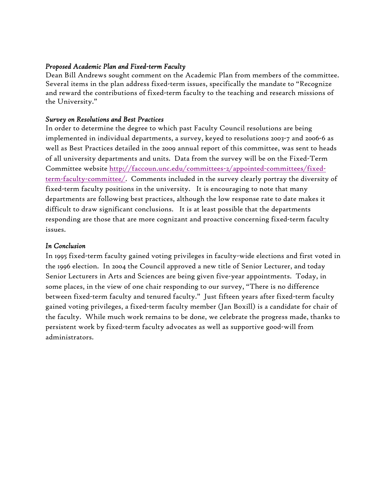#### *Proposed Academic Plan and Fixed-term Faculty*

Dean Bill Andrews sought comment on the Academic Plan from members of the committee. Several items in the plan address fixed-term issues, specifically the mandate to "Recognize and reward the contributions of fixed-term faculty to the teaching and research missions of the University."

#### *Survey on Resolutions and Best Practices*

In order to determine the degree to which past Faculty Council resolutions are being implemented in individual departments, a survey, keyed to resolutions 2003-7 and 2006-6 as well as Best Practices detailed in the 2009 annual report of this committee, was sent to heads of all university departments and units. Data from the survey will be on the Fixed-Term Committee website http://faccoun.unc.edu/committees-2/appointed-committees/fixedterm-faculty-committee/. Comments included in the survey clearly portray the diversity of fixed-term faculty positions in the university. It is encouraging to note that many departments are following best practices, although the low response rate to date makes it difficult to draw significant conclusions. It is at least possible that the departments responding are those that are more cognizant and proactive concerning fixed-term faculty issues.

#### *In Conclusion*

In 1995 fixed-term faculty gained voting privileges in faculty-wide elections and first voted in the 1996 election. In 2004 the Council approved a new title of Senior Lecturer, and today Senior Lecturers in Arts and Sciences are being given five-year appointments. Today, in some places, in the view of one chair responding to our survey, "There is no difference between fixed-term faculty and tenured faculty." Just fifteen years after fixed-term faculty gained voting privileges, a fixed-term faculty member (Jan Boxill) is a candidate for chair of the faculty. While much work remains to be done, we celebrate the progress made, thanks to persistent work by fixed-term faculty advocates as well as supportive good-will from administrators.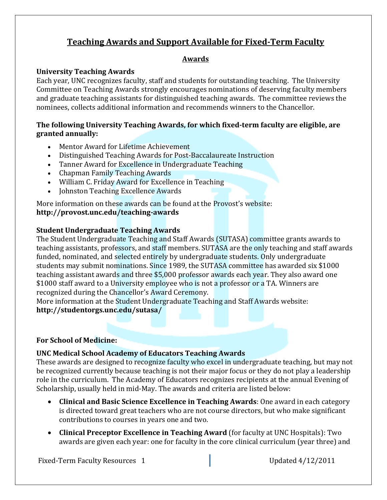# **Teaching Awards and Support Available for Fixed‐Term Faculty**

## **Awards**

### **University Teaching Awards**

Each year, UNC recognizes faculty, staff and students for outstanding teaching. The University Committee on Teaching Awards strongly encourages nominations of deserving faculty members and graduate teaching assistants for distinguished teaching awards. The committee reviews the nominees, collects additional information and recommends winners to the Chancellor.

### **The following University Teaching Awards, for which fixed‐term faculty are eligible, are granted annually:**

- Mentor Award for Lifetime Achievement
- Distinguished Teaching Awards for Post-Baccalaureate Instruction
- Tanner Award for Excellence in Undergraduate Teaching
- Chapman Family Teaching Awards
- William C. Friday Award for Excellence in Teaching
- Johnston Teaching Excellence Awards

More information on these awards can be found at the Provost's website: **http://provost.unc.edu/teaching‐awards**

### **Student Undergraduate Teaching Awards**

The Student Undergraduate Teaching and Staff Awards (SUTASA) committee grants awards to teaching assistants, professors, and staff members. SUTASA are the only teaching and staff awards funded, nominated, and selected entirely by undergraduate students. Only undergraduate students may submit nominations. Since 1989, the SUTASA committee has awarded six \$1000 teaching assistant awards and three \$5,000 professor awards each year. They also award one \$1000 staff award to a University employee who is not a professor or a TA. Winners are recognized during the Chancellor's Award Ceremony.

More information at the Student Undergraduate Teaching and Staff Awards website: **http://studentorgs.unc.edu/sutasa/**

### **For School of Medicine:**

## **UNC Medical School Academy of Educators Teaching Awards**

These awards are designed to recognize faculty who excel in undergraduate teaching, but may not be recognized currently because teaching is not their major focus or they do not play a leadership role in the curriculum. The Academy of Educators recognizes recipients at the annual Evening of Scholarship, usually held in mid-May. The awards and criteria are listed below:

- **Clinical and Basic Science Excellence in Teaching Awards: One award in each category** is directed toward great teachers who are not course directors, but who make significant contributions to courses in years one and two.
- **Clinical Preceptor Excellence in Teaching Award** (for faculty at UNC Hospitals): Two awards are given each year: one for faculty in the core clinical curriculum (year three) and

Fixed-Term Faculty Resources 1 **Department Control** Updated 4/12/2011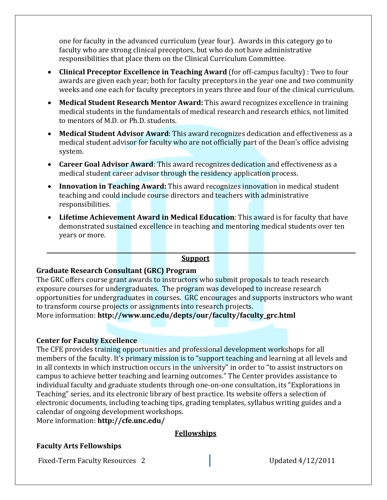one for faculty in the advanced curriculum (year four). Awards in this category go to faculty who are strong clinical preceptors, but who do not have administrative responsibilities that place them on the Clinical Curriculum Committee.

- **Clinical Preceptor Excellence in Teaching Award (for off-campus faculty) : Two to four** awards are given each year; both for faculty preceptors in the year one and two community weeks and one each for faculty preceptors in years three and four of the clinical curriculum.
- **Medical Student Research Mentor Award:** This award recognizes excellence in training medical students in the fundamentals of medical research and research ethics, not limited to mentors of M.D. or Ph.D. students.
- Medical Student Advisor Award: This award recognizes dedication and effectiveness as a medical student advisor for faculty who are not officially part of the Dean's office advising system.
- **Career Goal Advisor Award**: This award recognizes dedication and effectiveness as a medical student career advisor through the residency application process.
- **Innovation in Teaching Award:** This award recognizes innovation in medical student teaching and could include course directors and teachers with administrative responsibilities.
- Lifetime Achievement Award in Medical Education: This award is for faculty that have demonstrated sustained excellence in teaching and mentoring medical students over ten years or more.

### **Support**

### **Graduate Research Consultant (GRC) Program**

The GRC offers course grant awards to instructors who submit proposals to teach research exposure courses for undergraduates. The program was developed to increase research opportunities for undergraduates in courses. GRC encourages and supports instructors who want to transform course projects or assignments into research projects.

More information: http://www.unc.edu/depts/our/faculty/faculty\_grc.html

### **Center for Faculty Excellence**

The CFE provides training opportunities and professional development workshops for all members of the faculty. It's primary mission is to "support teaching and learning at all levels and in all contexts in which instruction occurs in the university" in order to "to assist instructors on campus to achieve better teaching and learning outcomes." The Center provides assistance to individual faculty and graduate students through one-on-one consultation, its "Explorations in Teaching" series, and its electronic library of best practice. Its website offers a selection of electronic documents, including teaching tips, grading templates, syllabus writing guides and a calendar of ongoing development workshops.

More information: **http://cfe.unc.edu/** 

### **Fellowships**

### **Faculty Arts Fellowships**

Fixed-Term Faculty Resources 2 **Department Control** Updated 4/12/2011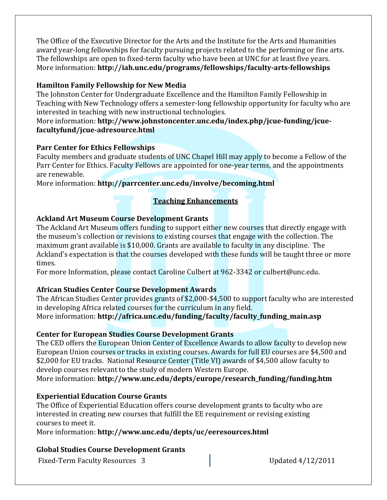The Office of the Executive Director for the Arts and the Institute for the Arts and Humanities award year-long fellowships for faculty pursuing projects related to the performing or fine arts. The fellowships are open to fixed-term faculty who have been at UNC for at least five years. More information: http://iah.unc.edu/programs/fellowships/faculty-arts-fellowships

## **Hamilton Family Fellowship for New Media**

The Johnston Center for Undergraduate Excellence and the Hamilton Family Fellowship in Teaching with New Technology offers a semester-long fellowship opportunity for faculty who are interested in teaching with new instructional technologies.

### More information: http://www.johnstoncenter.unc.edu/index.php/jcue-funding/jcue**facultyfund/jcue‐adresource.html**

## **Parr Center for Ethics Fellowships**

Faculty members and graduate students of UNC Chapel Hill may apply to become a Fellow of the Parr Center for Ethics. Faculty Fellows are appointed for one-year terms, and the appointments are renewable.

More information: **http://parrcenter.unc.edu/involve/becoming.html** 

# **Teaching Enhancements**

## **Ackland Art Museum Course Development Grants**

The Ackland Art Museum offers funding to support either new courses that directly engage with the museum's collection or revisions to existing courses that engage with the collection. The maximum grant available is  $$10,000$ . Grants are available to faculty in any discipline. The Ackland's expectation is that the courses developed with these funds will be taught three or more times. 

For more Information, please contact Caroline Culbert at 962-3342 or culbert@unc.edu.

# **African Studies Center Course Development Awards**

The African Studies Center provides grants of \$2,000-\$4,500 to support faculty who are interested in developing Africa related courses for the curriculum in any field. More information: **http://africa.unc.edu/funding/faculty/faculty\_funding\_main.asp** 

## **Center for European Studies Course Development Grants**

The CED offers the European Union Center of Excellence Awards to allow faculty to develop new European Union courses or tracks in existing courses. Awards for full EU courses are \$4,500 and \$2,000 for EU tracks. National Resource Center (Title VI) awards of \$4,500 allow faculty to develop courses relevant to the study of modern Western Europe. More information: http://www.unc.edu/depts/europe/research\_funding/funding.htm

# **Experiential Education Course Grants**

The Office of Experiential Education offers course development grants to faculty who are interested in creating new courses that fulfill the EE requirement or revising existing courses to meet it.

More information: http://www.unc.edu/depts/uc/eeresources.html

# **Global Studies Course Development Grants**

Fixed-Term Faculty Resources 3 **and Server Control** Updated 4/12/2011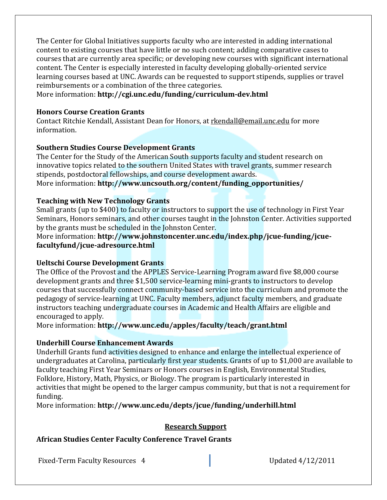The Center for Global Initiatives supports faculty who are interested in adding international content to existing courses that have little or no such content; adding comparative cases to courses that are currently area specific; or developing new courses with significant international content. The Center is especially interested in faculty developing globally-oriented service learning courses based at UNC. Awards can be requested to support stipends, supplies or travel reimbursements or a combination of the three categories.

More information: http://cgi.unc.edu/funding/curriculum-dev.html

#### **Honors Course Creation Grants**

Contact Ritchie Kendall, Assistant Dean for Honors, at rkendall@email.unc.edu for more information. 

### **Southern Studies Course Development Grants**

The Center for the Study of the American South supports faculty and student research on innovative topics related to the southern United States with travel grants, summer research stipends, postdoctoral fellowships, and course development awards.

More information: http://www.uncsouth.org/content/funding\_opportunities/

### **Teaching with New Technology Grants**

Small grants (up to \$400) to faculty or instructors to support the use of technology in First Year Seminars, Honors seminars, and other courses taught in the Johnston Center. Activities supported by the grants must be scheduled in the Johnston Center.

More information: **http://www.johnstoncenter.unc.edu/index.php/jcue-funding/jcuefacultyfund/jcue‐adresource.html**

### **Ueltschi Course Development Grants**

The Office of the Provost and the APPLES Service-Learning Program award five \$8,000 course development grants and three \$1,500 service-learning mini-grants to instructors to develop courses that successfully connect community-based service into the curriculum and promote the pedagogy of service-learning at UNC. Faculty members, adjunct faculty members, and graduate instructors teaching undergraduate courses in Academic and Health Affairs are eligible and encouraged to apply.

More information: http://www.unc.edu/apples/faculty/teach/grant.html

### **Underhill Course Enhancement Awards**

Underhill Grants fund activities designed to enhance and enlarge the intellectual experience of undergraduates at Carolina, particularly first year students. Grants of up to \$1,000 are available to faculty teaching First Year Seminars or Honors courses in English, Environmental Studies, Folklore, History, Math, Physics, or Biology. The program is particularly interested in activities that might be opened to the larger campus community, but that is not a requirement for funding. 

More information: http://www.unc.edu/depts/jcue/funding/underhill.html

### **Research Support**

### **African Studies Center Faculty Conference Travel Grants**

Fixed-Term Faculty Resources 4 **Department Control** Updated 4/12/2011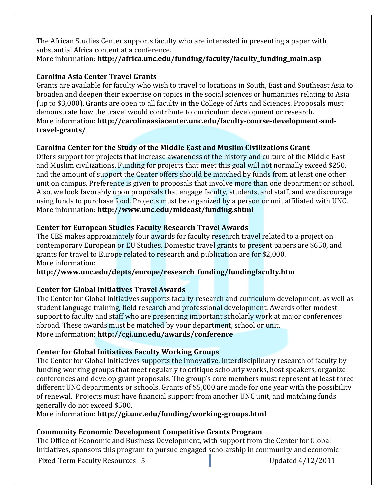The African Studies Center supports faculty who are interested in presenting a paper with substantial Africa content at a conference. More information: http://africa.unc.edu/funding/faculty/faculty\_funding\_main.asp

# **Carolina Asia Center Travel Grants**

Grants are available for faculty who wish to travel to locations in South, East and Southeast Asia to broaden and deepen their expertise on topics in the social sciences or humanities relating to Asia (up to \$3,000). Grants are open to all faculty in the College of Arts and Sciences. Proposals must demonstrate how the travel would contribute to curriculum development or research. **More** information: **http://carolinaasiacenter.unc.edu/faculty-course-development-andtravel‐grants/**

## **Carolina Center for the Study of the Middle East and Muslim Civilizations Grant**

Offers support for projects that increase awareness of the history and culture of the Middle East and Muslim civilizations. Funding for projects that meet this goal will not normally exceed \$250, and the amount of support the Center offers should be matched by funds from at least one other unit on campus. Preference is given to proposals that involve more than one department or school. Also, we look favorably upon proposals that engage faculty, students, and staff, and we discourage using funds to purchase food. Projects must be organized by a person or unit affiliated with UNC. More information: http://www.unc.edu/mideast/funding.shtml

## **Center for European Studies Faculty Research Travel Awards**

The CES makes approximately four awards for faculty research travel related to a project on contemporary European or EU Studies. Domestic travel grants to present papers are \$650, and grants for travel to Europe related to research and publication are for \$2,000. More information:

## **http://www.unc.edu/depts/europe/research\_funding/fundingfaculty.htm**

## **Center for Global Initiatives Travel Awards**

The Center for Global Initiatives supports faculty research and curriculum development, as well as student language training, field research and professional development. Awards offer modest support to faculty and staff who are presenting important scholarly work at major conferences abroad. These awards must be matched by your department, school or unit. More information: http://cgi.unc.edu/awards/conference

## **Center for Global Initiatives Faculty Working Groups**

The Center for Global Initiatives supports the innovative, interdisciplinary research of faculty by funding working groups that meet regularly to critique scholarly works, host speakers, organize conferences and develop grant proposals. The group's core members must represent at least three different UNC departments or schools. Grants of \$5,000 are made for one year with the possibility of renewal. Projects must have financial support from another UNC unit, and matching funds generally do not exceed \$500.

More information: http://gi.unc.edu/funding/working-groups.html

# **Community Economic Development Competitive Grants Program**

Fixed-Term Faculty Resources 5 **and Equated** 4/12/2011 The Office of Economic and Business Development, with support from the Center for Global Initiatives, sponsors this program to pursue engaged scholarship in community and economic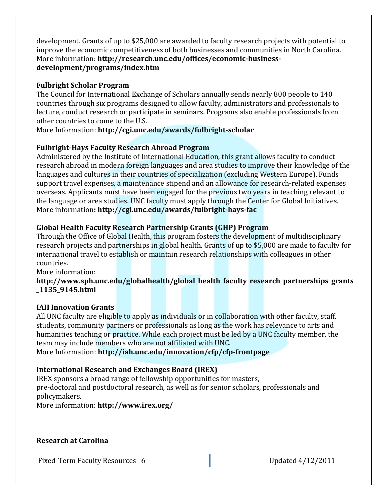development. Grants of up to \$25,000 are awarded to faculty research projects with potential to improve the economic competitiveness of both businesses and communities in North Carolina. More information: http://research.unc.edu/offices/economic-business**development/programs/index.htm**

## **Fulbright Scholar Program**

The Council for International Exchange of Scholars annually sends nearly 800 people to 140 countries through six programs designed to allow faculty, administrators and professionals to lecture, conduct research or participate in seminars. Programs also enable professionals from other countries to come to the U.S.

More Information: **http://cgi.unc.edu/awards/fulbright-scholar** 

# **Fulbright‐Hays Faculty Research Abroad Program**

Administered by the Institute of International Education, this grant allows faculty to conduct research abroad in modern foreign languages and area studies to improve their knowledge of the languages and cultures in their countries of specialization (excluding Western Europe). Funds support travel expenses, a maintenance stipend and an allowance for research-related expenses overseas. Applicants must have been engaged for the previous two years in teaching relevant to the language or area studies. UNC faculty must apply through the Center for Global Initiatives. More information**: http://cgi.unc.edu/awards/fulbright‐hays‐fac**

## **Global Health Faculty Research Partnership Grants (GHP) Program**

Through the Office of Global Health, this program fosters the development of multidisciplinary research projects and partnerships in global health. Grants of up to \$5,000 are made to faculty for international travel to establish or maintain research relationships with colleagues in other countries. 

More information:

### **http://www.sph.unc.edu/globalhealth/global\_health\_faculty\_research\_partnerships\_grants \_1135\_9145.html**

## **IAH Innovation Grants**

All UNC faculty are eligible to apply as individuals or in collaboration with other faculty, staff, students, community partners or professionals as long as the work has relevance to arts and humanities teaching or practice. While each project must be led by a UNC faculty member, the team may include members who are not affiliated with UNC.

More Information: **http://iah.unc.edu/innovation/cfp/cfp-frontpage** 

# **International Research and Exchanges Board (IREX)**

IREX sponsors a broad range of fellowship opportunities for masters, pre-doctoral and postdoctoral research, as well as for senior scholars, professionals and policymakers. 

More information: **http://www.irex.org/** 

**Research at Carolina** 

Fixed-Term Faculty Resources 6 **and Equated** 4/12/2011